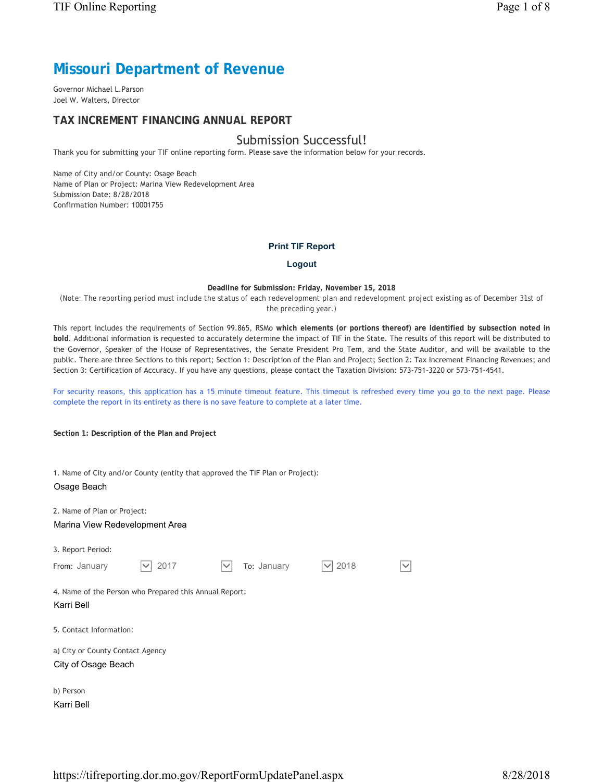# **Missouri Department of Revenue**

Governor Michael L.Parson Joel W. Walters, Director

### **TAX INCREMENT FINANCING ANNUAL REPORT**

## Submission Successful!

Thank you for submitting your TIF online reporting form. Please save the information below for your records.

Name of City and/or County: Osage Beach Name of Plan or Project: Marina View Redevelopment Area Submission Date: 8/28/2018 Confirmation Number: 10001755

#### **Print TIF Report**

#### **Logout**

#### **Deadline for Submission: Friday, November 15, 2018**

*(Note: The reporting period must include the status of each redevelopment plan and redevelopment project existing as of December 31st of the preceding year.)*

This report includes the requirements of Section 99.865, RSMo **which elements (or portions thereof) are identified by subsection noted in bold**. Additional information is requested to accurately determine the impact of TIF in the State. The results of this report will be distributed to the Governor, Speaker of the House of Representatives, the Senate President Pro Tem, and the State Auditor, and will be available to the public. There are three Sections to this report; Section 1: Description of the Plan and Project; Section 2: Tax Increment Financing Revenues; and Section 3: Certification of Accuracy. If you have any questions, please contact the Taxation Division: 573-751-3220 or 573-751-4541.

For security reasons, this application has a 15 minute timeout feature. This timeout is refreshed every time you go to the next page. Please complete the report in its entirety as there is no save feature to complete at a later time.

**Section 1: Description of the Plan and Project**

1. Name of City and/or County (entity that approved the TIF Plan or Project):

#### Osage Beach

2. Name of Plan or Project:

Marina View Redevelopment Area

| 3. Report Period: |  |
|-------------------|--|
|-------------------|--|

| From: January                                                        | 2017 | $\checkmark$ | To: January | 2018 | $\checkmark$ |
|----------------------------------------------------------------------|------|--------------|-------------|------|--------------|
| 4. Name of the Person who Prepared this Annual Report:<br>Karri Bell |      |              |             |      |              |
| 5. Contact Information:                                              |      |              |             |      |              |
| a) City or County Contact Agency<br>City of Osage Beach              |      |              |             |      |              |
| b) Person                                                            |      |              |             |      |              |

Karri Bell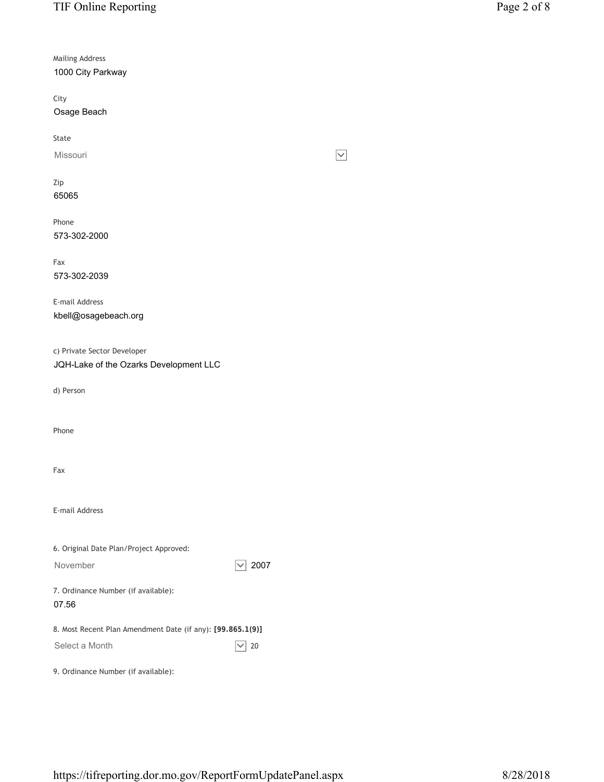Mailing Address 1000 City Parkway

City Osage Beach

State

Missouri

Zip 65065

Phone 573-302-2000

Fax 573-302-2039

E-mail Address kbell@osagebeach.org

c) Private Sector Developer

JQH-Lake of the Ozarks Development LLC

d) Person

Phone

Fax

E-mail Address

| 6. Original Date Plan/Project Approved:                    |      |
|------------------------------------------------------------|------|
| November                                                   | 2007 |
| 7. Ordinance Number (if available):<br>07.56               |      |
| 8. Most Recent Plan Amendment Date (if any): [99.865.1(9)] |      |
| Select a Month                                             | 20   |
| 9. Ordinance Number (if available):                        |      |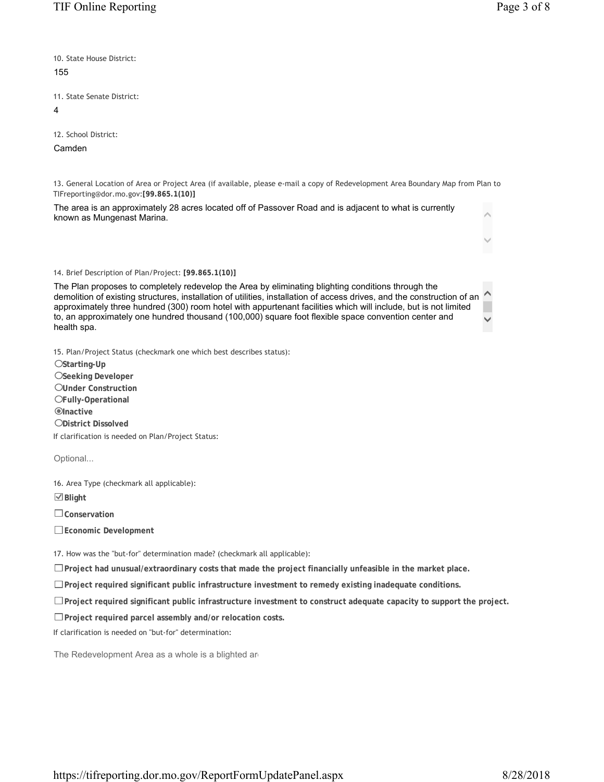$\bar{\wedge}$ 

 $\checkmark$ 

 $\hat{\phantom{a}}$ 

 $\checkmark$ 

10. State House District: 155

11. State Senate District:

4

12. School District:

Camden

13. General Location of Area or Project Area (if available, please e-mail a copy of Redevelopment Area Boundary Map from Plan to TIFreporting@dor.mo.gov:**[99.865.1(10)]**

The area is an approximately 28 acres located off of Passover Road and is adjacent to what is currently known as Mungenast Marina.

#### 14. Brief Description of Plan/Project: **[99.865.1(10)]**

The Plan proposes to completely redevelop the Area by eliminating blighting conditions through the demolition of existing structures, installation of utilities, installation of access drives, and the construction of an approximately three hundred (300) room hotel with appurtenant facilities which will include, but is not limited to, an approximately one hundred thousand (100,000) square foot flexible space convention center and health spa.

15. Plan/Project Status (checkmark one which best describes status):

**Starting-Up**

**Seeking Developer**

**Under Construction**

**Fully-Operational**

 $\odot$ Inactive

**District Dissolved**

If clarification is needed on Plan/Project Status:

Optional...

16. Area Type (checkmark all applicable):

**Blight**

**Conservation**

**Economic Development**

17. How was the "but-for" determination made? (checkmark all applicable):

**Project had unusual/extraordinary costs that made the project financially unfeasible in the market place.**

**Project required significant public infrastructure investment to remedy existing inadequate conditions.**

**Project required significant public infrastructure investment to construct adequate capacity to support the project.**

**Project required parcel assembly and/or relocation costs.**

If clarification is needed on "but-for" determination:

The Redevelopment Area as a whole is a blighted are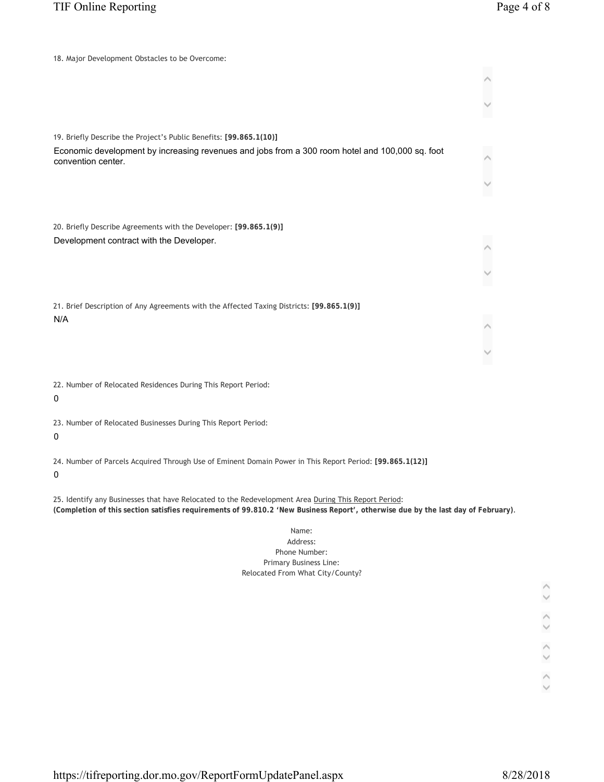| 18. Major Development Obstacles to be Overcome:                                                                                                                                                                                           |  |
|-------------------------------------------------------------------------------------------------------------------------------------------------------------------------------------------------------------------------------------------|--|
|                                                                                                                                                                                                                                           |  |
|                                                                                                                                                                                                                                           |  |
|                                                                                                                                                                                                                                           |  |
| 19. Briefly Describe the Project's Public Benefits: [99.865.1(10)]                                                                                                                                                                        |  |
| Economic development by increasing revenues and jobs from a 300 room hotel and 100,000 sq. foot                                                                                                                                           |  |
| convention center.                                                                                                                                                                                                                        |  |
|                                                                                                                                                                                                                                           |  |
|                                                                                                                                                                                                                                           |  |
| 20. Briefly Describe Agreements with the Developer: [99.865.1(9)]                                                                                                                                                                         |  |
| Development contract with the Developer.                                                                                                                                                                                                  |  |
|                                                                                                                                                                                                                                           |  |
|                                                                                                                                                                                                                                           |  |
|                                                                                                                                                                                                                                           |  |
| 21. Brief Description of Any Agreements with the Affected Taxing Districts: [99.865.1(9)]                                                                                                                                                 |  |
| N/A                                                                                                                                                                                                                                       |  |
|                                                                                                                                                                                                                                           |  |
|                                                                                                                                                                                                                                           |  |
| 22. Number of Relocated Residences During This Report Period:                                                                                                                                                                             |  |
| 0                                                                                                                                                                                                                                         |  |
|                                                                                                                                                                                                                                           |  |
| 23. Number of Relocated Businesses During This Report Period:<br>0                                                                                                                                                                        |  |
|                                                                                                                                                                                                                                           |  |
| 24. Number of Parcels Acquired Through Use of Eminent Domain Power in This Report Period: [99.865.1(12)]<br>0                                                                                                                             |  |
|                                                                                                                                                                                                                                           |  |
| 25. Identify any Businesses that have Relocated to the Redevelopment Area During This Report Period:<br>(Completion of this section satisfies requirements of 99.810.2 'New Business Report', otherwise due by the last day of February). |  |
| Name:                                                                                                                                                                                                                                     |  |
| Address:<br>Phone Number:                                                                                                                                                                                                                 |  |
| <b>Primary Business Line:</b>                                                                                                                                                                                                             |  |
| Relocated From What City/County?                                                                                                                                                                                                          |  |
|                                                                                                                                                                                                                                           |  |
|                                                                                                                                                                                                                                           |  |
|                                                                                                                                                                                                                                           |  |

 $\hat{\phantom{a}}$  $\checkmark$  $\hat{\phantom{a}}$  $\checkmark$  $\hat{\phantom{a}}$  $\checkmark$  $\widehat{\phantom{a}}$  $\checkmark$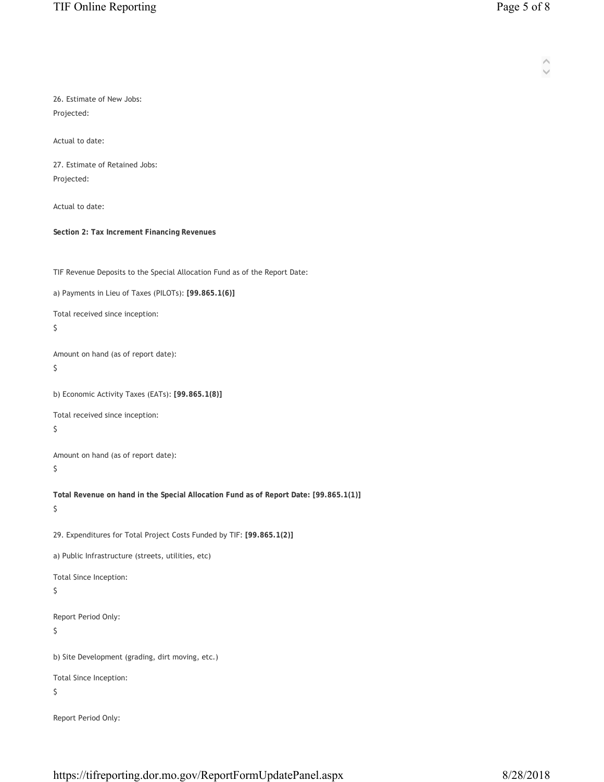| 26. Estimate of New Jobs:<br>Projected:                                                     |
|---------------------------------------------------------------------------------------------|
| Actual to date:                                                                             |
| 27. Estimate of Retained Jobs:<br>Projected:                                                |
| Actual to date:                                                                             |
| Section 2: Tax Increment Financing Revenues                                                 |
| TIF Revenue Deposits to the Special Allocation Fund as of the Report Date:                  |
| a) Payments in Lieu of Taxes (PILOTs): [99.865.1(6)]                                        |
| Total received since inception:<br>\$                                                       |
| Amount on hand (as of report date):<br>\$                                                   |
| b) Economic Activity Taxes (EATs): [99.865.1(8)]                                            |
| Total received since inception:<br>\$                                                       |
| Amount on hand (as of report date):<br>\$                                                   |
| Total Revenue on hand in the Special Allocation Fund as of Report Date: [99.865.1(1)]<br>\$ |
| 29. Expenditures for Total Project Costs Funded by TIF: [99.865.1(2)]                       |
| a) Public Infrastructure (streets, utilities, etc)                                          |
| Total Since Inception:<br>\$                                                                |
| Report Period Only:<br>\$                                                                   |
| b) Site Development (grading, dirt moving, etc.)                                            |
| Total Since Inception:<br>\$                                                                |
| Report Period Only:                                                                         |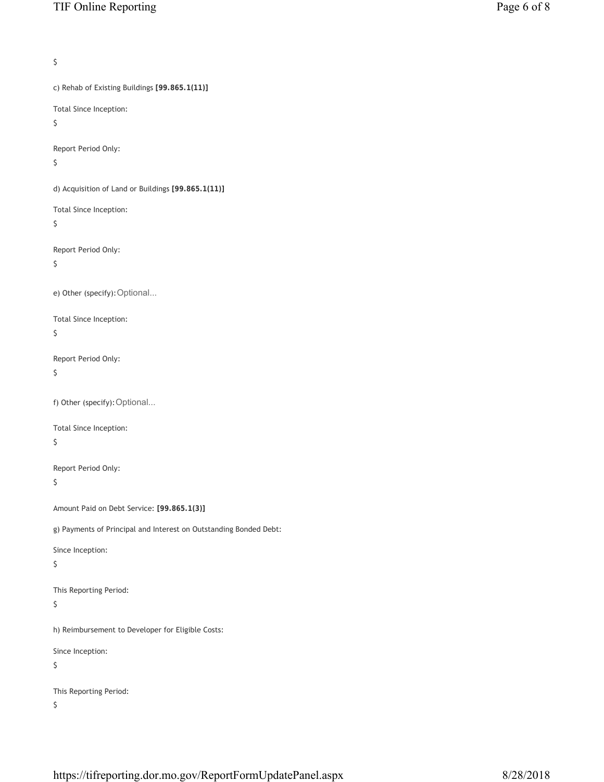```
\mathsf{S}c) Rehab of Existing Buildings [99.865.1(11)]
Total Since Inception:
$ 
Report Period Only:
$ 
d) Acquisition of Land or Buildings [99.865.1(11)]
Total Since Inception:
\boldsymbol{\zeta}Report Period Only:
$ 
e) Other (specify):Optional...
Total Since Inception:
$ 
Report Period Only:
\mathsf{S}f) Other (specify):Optional...
Total Since Inception:
\boldsymbol{\varsigma}Report Period Only:
$ 
Amount Paid on Debt Service: [99.865.1(3)]
g) Payments of Principal and Interest on Outstanding Bonded Debt:
Since Inception:
\boldsymbol{\varsigma}This Reporting Period:
$ 
h) Reimbursement to Developer for Eligible Costs:
Since Inception: 
$ 
This Reporting Period:
$
```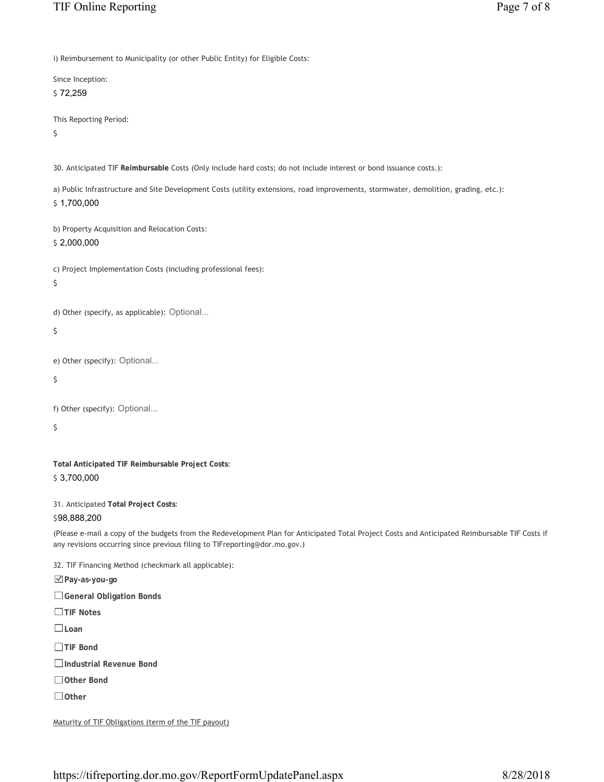i) Reimbursement to Municipality (or other Public Entity) for Eligible Costs:

Since Inception: \$ 72,259

This Reporting Period:

 $\mathsf{\hat{S}}$ 

30. Anticipated TIF **Reimbursable** Costs (Only include hard costs; do not include interest or bond issuance costs.):

a) Public Infrastructure and Site Development Costs (utility extensions, road improvements, stormwater, demolition, grading, etc.): \$ 1,700,000

|  | b) Property Acquisition and Relocation Costs: |  |  |
|--|-----------------------------------------------|--|--|
|  |                                               |  |  |

\$ 2,000,000

```
c) Project Implementation Costs (including professional fees):
```

```
\zeta
```
d) Other (specify, as applicable): Optional...

\$

```
e) Other (specify): Optional...
```

```
\zeta
```

```
f) Other (specify): Optional...
```
 $\mathsf{S}$ 

**Total Anticipated TIF Reimbursable Project Costs**: \$ 3,700,000

31. Anticipated **Total Project Costs**:

\$98,888,200

(Please e-mail a copy of the budgets from the Redevelopment Plan for Anticipated Total Project Costs and Anticipated Reimbursable TIF Costs if any revisions occurring since previous filing to TIFreporting@dor.mo.gov.)

32. TIF Financing Method (checkmark all applicable):

**Pay-as-you-go**

**General Obligation Bonds**

**TIF Notes**

**Loan**

**TIF Bond**

**Industrial Revenue Bond**

**Other Bond**

**Other**

Maturity of TIF Obligations (term of the TIF payout)